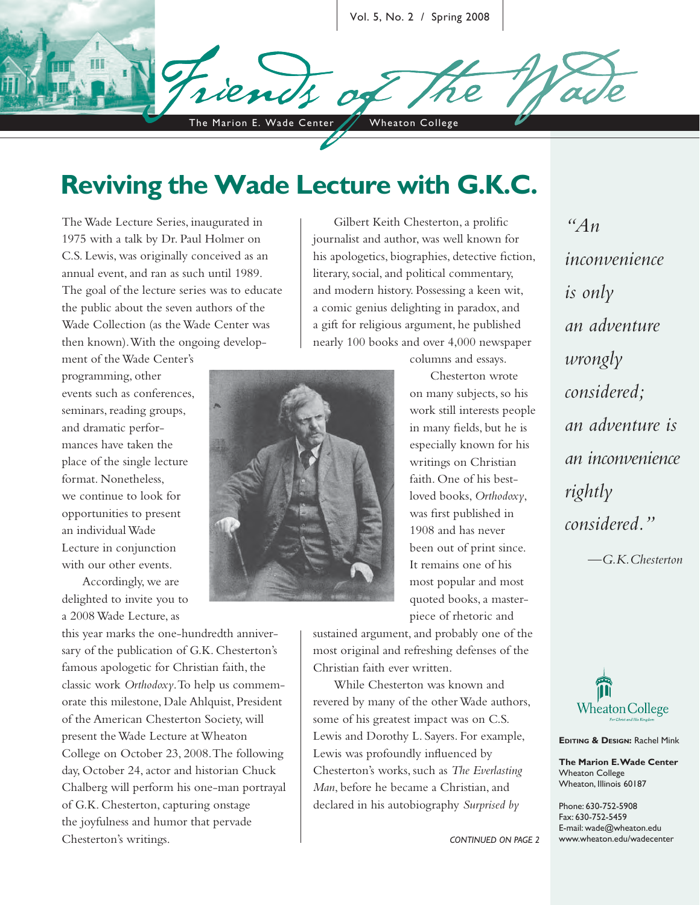Vol. 5, No. 2 / Spring 2008

The Marion E. Wade Center / Wheaton College

## **Reviving the Wade Lecture with G.K.C.**

The Wade Lecture Series, inaugurated in 1975 with a talk by Dr. Paul Holmer on C.S. Lewis, was originally conceived as an annual event, and ran as such until 1989. The goal of the lecture series was to educate the public about the seven authors of the Wade Collection (as the Wade Center was then known). With the ongoing develop-

ment of the Wade Center's programming, other events such as conferences, seminars, reading groups, and dramatic performances have taken the place of the single lecture format. Nonetheless, we continue to look for opportunities to present an individual Wade Lecture in conjunction with our other events.

Accordingly, we are delighted to invite you to a 2008 Wade Lecture, as

this year marks the one-hundredth anniversary of the publication of G.K. Chesterton's famous apologetic for Christian faith, the classic work *Orthodoxy*. To help us commemorate this milestone, Dale Ahlquist, President of the American Chesterton Society, will present the Wade Lecture at Wheaton College on October 23, 2008. The following day, October 24, actor and historian Chuck Chalberg will perform his one-man portrayal of G.K. Chesterton, capturing onstage the joyfulness and humor that pervade Chesterton's writings.

Gilbert Keith Chesterton, a prolific journalist and author, was well known for his apologetics, biographies, detective fiction, literary, social, and political commentary, and modern history. Possessing a keen wit, a comic genius delighting in paradox, and a gift for religious argument, he published nearly 100 books and over 4,000 newspaper



columns and essays.

Chesterton wrote on many subjects, so his work still interests people in many fields, but he is especially known for his writings on Christian faith. One of his bestloved books, *Orthodoxy*, was first published in 1908 and has never been out of print since. It remains one of his most popular and most quoted books, a masterpiece of rhetoric and

sustained argument, and probably one of the most original and refreshing defenses of the Christian faith ever written.

While Chesterton was known and revered by many of the other Wade authors, some of his greatest impact was on C.S. Lewis and Dorothy L. Sayers. For example, Lewis was profoundly influenced by Chesterton's works, such as *The Everlasting Man*, before he became a Christian, and declared in his autobiography *Surprised by* 

*inconvenience is only an adventure wrongly considered; an adventure is an inconvenience rightly considered." —G.K.Chesterton*

*"An* 



**EDITING & DESIGN:** Rachel Mink

**The Marion E. Wade Center** Wheaton College Wheaton, Illinois 60187

Phone: 630-752-5908 Fax: 630-752-5459 E-mail: wade@wheaton.edu www.wheaton.edu/wadecenter

*CONTINUED ON PAGE 2*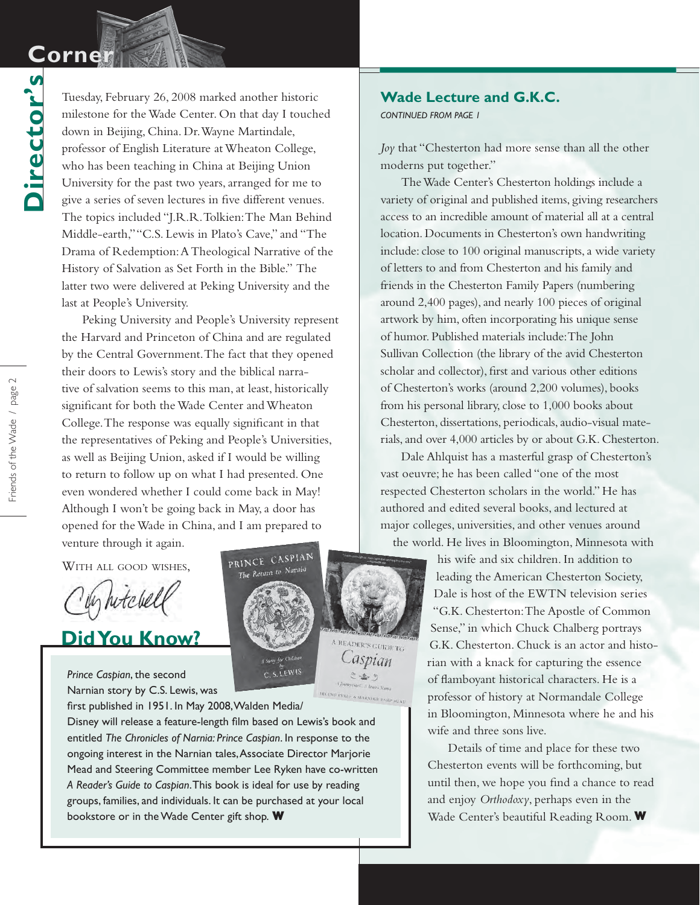## **Corner Corner**

**Director's**

Director's

Tuesday, February 26, 2008 marked another historic milestone for the Wade Center. On that day I touched down in Beijing, China. Dr. Wayne Martindale, professor of English Literature at Wheaton College, who has been teaching in China at Beijing Union University for the past two years, arranged for me to give a series of seven lectures in five different venues. The topics included "J.R.R. Tolkien: The Man Behind Middle-earth," "C.S. Lewis in Plato's Cave," and "The Drama of Redemption: A Theological Narrative of the History of Salvation as Set Forth in the Bible." The latter two were delivered at Peking University and the last at People's University.

Peking University and People's University represent the Harvard and Princeton of China and are regulated by the Central Government. The fact that they opened their doors to Lewis's story and the biblical narrative of salvation seems to this man, at least, historically significant for both the Wade Center and Wheaton College. The response was equally significant in that the representatives of Peking and People's Universities, as well as Beijing Union, asked if I would be willing to return to follow up on what I had presented. One even wondered whether I could come back in May! Although I won't be going back in May, a door has opened for the Wade in China, and I am prepared to venture through it again.

WITH ALL GOOD WISHES,

In hitchel

**Did You Know?**

*Prince Caspian*, the second Narnian story by C.S. Lewis, was

bookstore or in the Wade Center gift shop. W Wall Made Center's beautiful Reading Room. W first published in 1951. In May 2008, Walden Media/ Disney will release a feature-length film based on Lewis's book and entitled *The Chronicles of Narnia: Prince Caspian*. In response to the ongoing interest in the Narnian tales, Associate Director Marjorie Mead and Steering Committee member Lee Ryken have co-written *A Reader's Guide to Caspian*. This book is ideal for use by reading groups, families, and individuals. It can be purchased at your local



**Wade Lecture and G.K.C.**

*CONTINUED FROM PAGE 1*

*Joy* that "Chesterton had more sense than all the other moderns put together."

The Wade Center's Chesterton holdings include a variety of original and published items, giving researchers access to an incredible amount of material all at a central location. Documents in Chesterton's own handwriting include: close to 100 original manuscripts, a wide variety of letters to and from Chesterton and his family and friends in the Chesterton Family Papers (numbering around 2,400 pages), and nearly 100 pieces of original artwork by him, often incorporating his unique sense of humor. Published materials include: The John Sullivan Collection (the library of the avid Chesterton scholar and collector), first and various other editions of Chesterton's works (around 2,200 volumes), books from his personal library, close to 1,000 books about Chesterton, dissertations, periodicals, audio-visual materials, and over 4,000 articles by or about G.K. Chesterton.

Dale Ahlquist has a masterful grasp of Chesterton's vast oeuvre; he has been called "one of the most respected Chesterton scholars in the world." He has authored and edited several books, and lectured at major colleges, universities, and other venues around the world. He lives in Bloomington, Minnesota with

> his wife and six children. In addition to leading the American Chesterton Society, Dale is host of the EWTN television series "G.K. Chesterton: The Apostle of Common Sense," in which Chuck Chalberg portrays G.K. Chesterton. Chuck is an actor and historian with a knack for capturing the essence of flamboyant historical characters. He is a professor of history at Normandale College in Bloomington, Minnesota where he and his wife and three sons live.

> Details of time and place for these two Chesterton events will be forthcoming, but until then, we hope you find a chance to read and enjoy *Orthodoxy*, perhaps even in the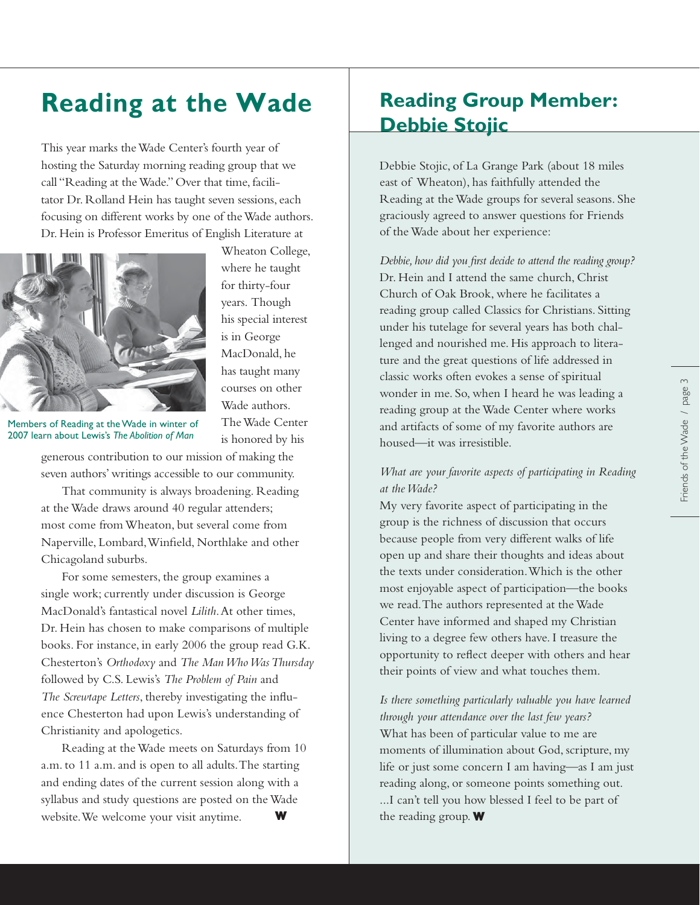# **Reading at the Wade**

This year marks the Wade Center's fourth year of hosting the Saturday morning reading group that we call "Reading at the Wade." Over that time, facilitator Dr. Rolland Hein has taught seven sessions, each focusing on different works by one of the Wade authors. Dr. Hein is Professor Emeritus of English Literature at



Wheaton College, where he taught for thirty-four years. Though his special interest is in George MacDonald, he has taught many courses on other Wade authors. The Wade Center is honored by his

Members of Reading at the Wade in winter of 2007 learn about Lewis's *The Abolition of Man*

generous contribution to our mission of making the seven authors' writings accessible to our community.

That community is always broadening. Reading at the Wade draws around 40 regular attenders; most come from Wheaton, but several come from Naperville, Lombard, Winfield, Northlake and other Chicagoland suburbs.

For some semesters, the group examines a single work; currently under discussion is George MacDonald's fantastical novel *Lilith*. At other times, Dr. Hein has chosen to make comparisons of multiple books. For instance, in early 2006 the group read G.K. Chesterton's *Orthodoxy* and *The Man Who Was Thursday* followed by C.S. Lewis's *The Problem of Pain* and *The Screwtape Letters*, thereby investigating the influence Chesterton had upon Lewis's understanding of Christianity and apologetics.

Reading at the Wade meets on Saturdays from 10 a.m. to 11 a.m. and is open to all adults. The starting and ending dates of the current session along with a syllabus and study questions are posted on the Wade website. We welcome your visit anytime. **W**

## **Reading Group Member: Debbie Stojic**

Debbie Stojic, of La Grange Park (about 18 miles east of Wheaton), has faithfully attended the Reading at the Wade groups for several seasons. She graciously agreed to answer questions for Friends of the Wade about her experience:

*Debbie, how did you first decide to attend the reading group?* Dr. Hein and I attend the same church, Christ Church of Oak Brook, where he facilitates a reading group called Classics for Christians. Sitting under his tutelage for several years has both challenged and nourished me. His approach to literature and the great questions of life addressed in classic works often evokes a sense of spiritual wonder in me. So, when I heard he was leading a reading group at the Wade Center where works and artifacts of some of my favorite authors are housed—it was irresistible.

#### *What are your favorite aspects of participating in Reading at the Wade?*

My very favorite aspect of participating in the group is the richness of discussion that occurs because people from very different walks of life open up and share their thoughts and ideas about the texts under consideration. Which is the other most enjoyable aspect of participation—the books we read. The authors represented at the Wade Center have informed and shaped my Christian living to a degree few others have. I treasure the opportunity to reflect deeper with others and hear their points of view and what touches them.

*Is there something particularly valuable you have learned through your attendance over the last few years?* What has been of particular value to me are moments of illumination about God, scripture, my life or just some concern I am having—as I am just reading along, or someone points something out. ...I can't tell you how blessed I feel to be part of the reading group.  $\mathbf W$